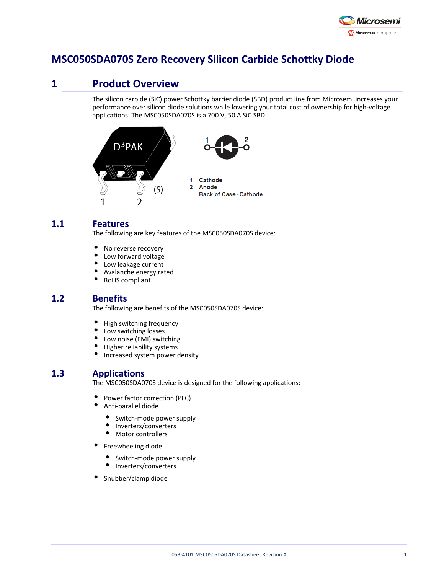

# **MSC050SDA070S Zero Recovery Silicon Carbide Schottky Diode**

# **1 Product Overview**

The silicon carbide (SiC) power Schottky barrier diode (SBD) product line from Microsemi increases your performance over silicon diode solutions while lowering your total cost of ownership for high-voltage applications. The MSC050SDA070S is a 700 V, 50 A SiC SBD.



# **1.1 Features**

The following are key features of the MSC050SDA070S device:

- $\bullet$ No reverse recovery
- $\bullet$ Low forward voltage
- $\bullet$ Low leakage current
- $\bullet$ Avalanche energy rated
- $\bullet$ RoHS compliant

# **1.2 Benefits**

The following are benefits of the MSC050SDA070S device:

- $\bullet$ High switching frequency
- $\bullet$ Low switching losses
- Low noise (EMI) switching
- $\bullet$ Higher reliability systems
- $\bullet$ Increased system power density

# **1.3 Applications**

The MSC050SDA070S device is designed for the following applications:

- $\bullet$ Power factor correction (PFC)
- $\bullet$ Anti-parallel diode
	- $\bullet$ Switch-mode power supply
	- $\bullet$ Inverters/converters
	- $\bullet$ Motor controllers
- $\bullet$ Freewheeling diode
	- Switch-mode power supply
	- Inverters/converters
- Snubber/clamp diode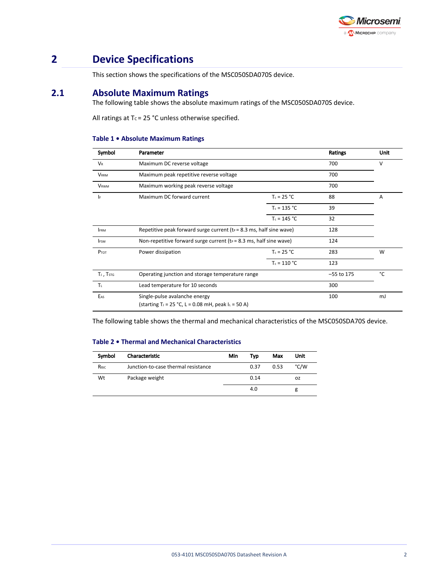

# **2 Device Specifications**

This section shows the specifications of the MSC050SDA070S device.

# **2.1 Absolute Maximum Ratings**

The following table shows the absolute maximum ratings of the MSC050SDA070S device.

All ratings at T $c = 25$  °C unless otherwise specified.

#### **Table 1 • Absolute Maximum Ratings**

| Symbol      | Parameter                                                                                          |                | Ratings      | Unit |
|-------------|----------------------------------------------------------------------------------------------------|----------------|--------------|------|
| <b>VR</b>   | Maximum DC reverse voltage                                                                         |                | 700          | v    |
| <b>VRRM</b> | Maximum peak repetitive reverse voltage                                                            |                | 700          |      |
| <b>VRWM</b> | Maximum working peak reverse voltage                                                               |                | 700          |      |
| <b>IF</b>   | Maximum DC forward current                                                                         | $T_c = 25 °C$  | 88           | A    |
|             |                                                                                                    | $T_c = 135 °C$ | 39           |      |
|             |                                                                                                    | $T_c = 145 °C$ | 32           |      |
| <b>IFRM</b> | Repetitive peak forward surge current ( $t_P$ = 8.3 ms, half sine wave)                            |                | 128          |      |
| <b>IFSM</b> | Non-repetitive forward surge current ( $t_P = 8.3$ ms, half sine wave)                             |                | 124          |      |
| Ртот        | Power dissipation                                                                                  | $T_c = 25 °C$  | 283          | W    |
|             |                                                                                                    | $T_c = 110 °C$ | 123          |      |
| TJ, TstG    | Operating junction and storage temperature range                                                   |                | $-55$ to 175 | °C   |
| Tı.         | Lead temperature for 10 seconds                                                                    |                | 300          |      |
| EAS         | Single-pulse avalanche energy<br>(starting T <sub>j</sub> = 25 °C, L = 0.08 mH, peak $I_L$ = 50 A) |                | 100          | mJ   |

The following table shows the thermal and mechanical characteristics of the MSC050SDA70S device.

#### **Table 2 • Thermal and Mechanical Characteristics**

| Symbol | Characteristic                      | Min | Tvp        | Max  | Unit |
|--------|-------------------------------------|-----|------------|------|------|
| Reic   | Junction-to-case thermal resistance |     | 0.37       | 0.53 | °C/W |
| Wt     | Package weight                      |     | 0.14<br>oz |      |      |
|        |                                     |     | 4.0        |      | g    |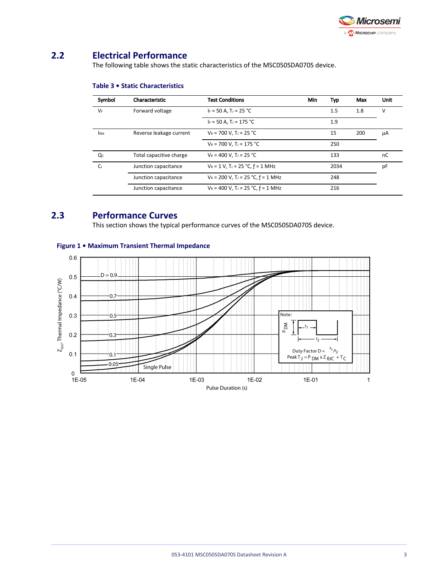

# **2.2 Electrical Performance**

The following table shows the static characteristics of the MSC050SDA070S device.

| Symbol         | Characteristic          | <b>Test Conditions</b>                             | Min | Typ  | Max | Unit |
|----------------|-------------------------|----------------------------------------------------|-----|------|-----|------|
| $V_F$          | Forward voltage         | $I_F = 50 A$ , T <sub>J</sub> = 25 °C              |     | 1.5  | 1.8 | v    |
|                |                         | $I_F = 50 A$ , T <sub>J</sub> = 175 °C             |     | 1.9  |     |      |
| <b>IRM</b>     | Reverse leakage current | $V_R = 700 V$ , T <sub>J</sub> = 25 °C             |     | 15   | 200 | μA   |
|                |                         | $V_R = 700 V$ , T <sub>J</sub> = 175 °C            |     | 250  |     |      |
| Qc             | Total capacitive charge | $V_R = 400 V$ . T <sub>J</sub> = 25 °C             |     | 133  |     | nC   |
| C <sub>1</sub> | Junction capacitance    | $V_R = 1 V$ , T <sub>J</sub> = 25 °C, $f = 1 MHz$  |     | 2034 |     | pF   |
|                | Junction capacitance    | $V_R = 200$ V, T <sub>J</sub> = 25 °C, $f = 1$ MHz |     | 248  |     |      |
|                | Junction capacitance    | $V_R = 400$ V, T <sub>J</sub> = 25 °C, $f = 1$ MHz |     | 216  |     |      |

### **Table 3 • Static Characteristics**

# **2.3 Performance Curves**

This section shows the typical performance curves of the MSC050SDA070S device.



### **Figure 1 • Maximum Transient Thermal Impedance**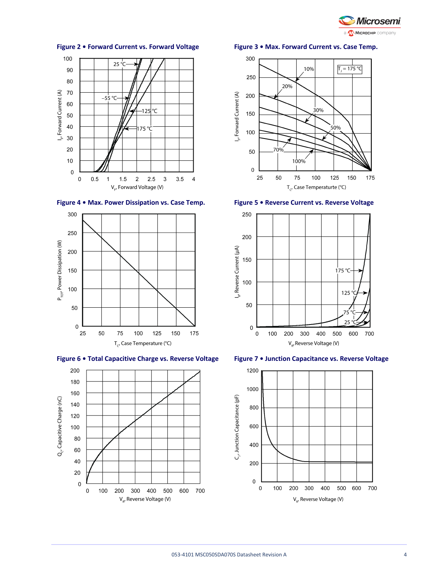

#### 100  $25^{\circ}$ C 90 80 I<sub>F</sub>, Forward Current (A) 70  $-55^{\circ}$ C-60 -125∣°C 50 40 175 °C 30 20  $10$  $\pmb{0}$  $\mathbf 0$  $0.5\,$  $1.5$  $\sqrt{2}$  $2.5$  $\sqrt{3}$  $3.5\,$  $\overline{\mathbf{4}}$  $\overline{\phantom{0}}$  1  $V_{F}$ , Forward Voltage (V)









#### **Figure 2 • Forward Current vs. Forward Voltage Figure 3 • Max. Forward Current vs. Case Temp.**







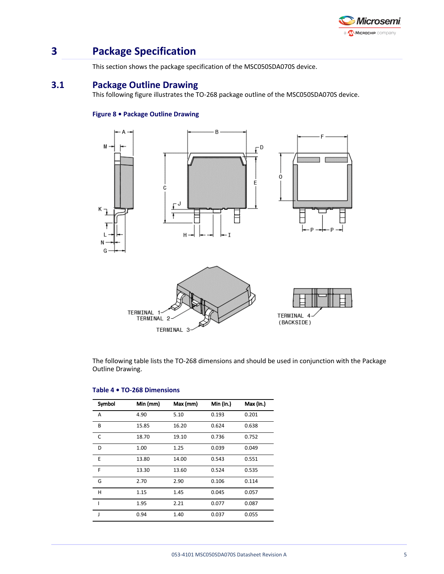

# **3 Package Specification**

This section shows the package specification of the MSC050SDA070S device.

# **3.1 Package Outline Drawing**

This following figure illustrates the TO-268 package outline of the MSC050SDA070S device.

### **Figure 8 • Package Outline Drawing**



The following table lists the TO-268 dimensions and should be used in conjunction with the Package Outline Drawing.

| Symbol | Min (mm) | Max (mm) | Min (in.) | Max (in.) |
|--------|----------|----------|-----------|-----------|
| A      | 4.90     | 5.10     | 0.193     | 0.201     |
| B      | 15.85    | 16.20    | 0.624     | 0.638     |
| C      | 18.70    | 19.10    | 0.736     | 0.752     |
| D      | 1.00     | 1.25     | 0.039     | 0.049     |
| E      | 13.80    | 14.00    | 0.543     | 0.551     |
| F      | 13.30    | 13.60    | 0.524     | 0.535     |
| G      | 2.70     | 2.90     | 0.106     | 0.114     |
| н      | 1.15     | 1.45     | 0.045     | 0.057     |
| ı      | 1.95     | 2.21     | 0.077     | 0.087     |
| J      | 0.94     | 1.40     | 0.037     | 0.055     |

#### **Table 4 • TO-268 Dimensions**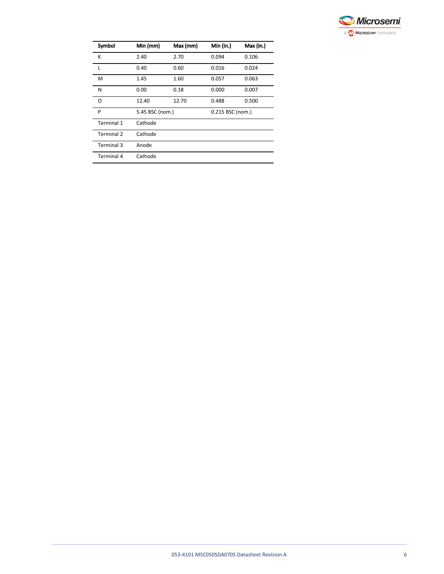

| Symbol            | Min (mm)        | Max (mm) | Min (in.)        | Max (in.) |  |
|-------------------|-----------------|----------|------------------|-----------|--|
| К                 | 2.40            | 2.70     | 0.094            | 0.106     |  |
| L                 | 0.40            | 0.60     | 0.016            | 0.024     |  |
| M                 | 1.45            | 1.60     | 0.057            | 0.063     |  |
| N                 | 0.00            | 0.18     | 0.000            | 0.007     |  |
| O                 | 12.40           | 12.70    | 0.488            | 0.500     |  |
| P                 | 5.45 BSC (nom.) |          | 0.215 BSC (nom.) |           |  |
| Terminal 1        | Cathode         |          |                  |           |  |
| <b>Terminal 2</b> | Cathode         |          |                  |           |  |
| Terminal 3        | Anode           |          |                  |           |  |
| <b>Terminal 4</b> | Cathode         |          |                  |           |  |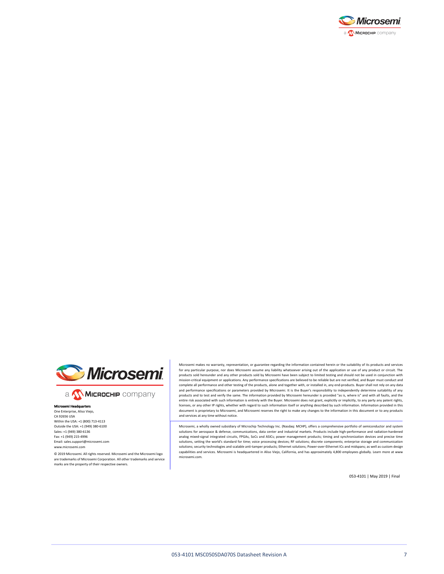



a **Wickellip** company

#### Microsemi Headqu One Enterprise, Aliso Viejo, CA 92656 USA Within the USA: +1 (800) 713-4113 Outside the USA: +1 (949) 380-6100 Sales: +1 (949) 380-6136 Fax: +1 (949) 215-4996 Email: sales.support@microsemi.com www.microsemi.com

© 2019 Microsemi. All rights reserved. Microsemi and the Microsemi logo are trademarks of Microsemi Corporation. All other trademarks and service marks are the property of their respective owners.

Microsemi makes no warranty, representation, or guarantee regarding the information contained herein or the suitability of its products and services for any particular purpose, nor does Microsemi assume any liability whatsoever arising out of the application or use of any product or circuit. The products sold hereunder and any other products sold by Microsemi have been subject to limited testing and should not be used in conjunction with mission-critical equipment or applications. Any performance specifications are believed to be reliable but are not verified, and Buyer must conduct and complete all performance and other testing of the products, alone and together with, or installed in, any end-products. Buyer shall not rely on any data and performance specifications or parameters provided by Microsemi. It is the Buyer's responsibility to independently determine suitability of any products and to test and verify the same. The information provided by Microsemi hereunder is provided "as is, where is" and with all faults, and the<br>entire risk associated with such information is entirely with the Buyer. licenses, or any other IP rights, whether with regard to such information itself or anything described by such information. Information provided in this document is proprietary to Microsemi, and Microsemi reserves the right to make any changes to the information in this document or to any products and services at any time without notice.

Microsemi, a wholly owned subsidiary of Microchip Technology Inc. (Nasdaq: MCHP), offers a comprehensive portfolio of semiconductor and system solutions for aerospace & defense, communications, data center and industrial markets. Products include high-performance and radiation-hardened analog mixed-signal integrated circuits, FPGAs, SoCs and ASICs; power management products; timing and synchronization devices and precise time solutions, setting the world's standard for time; voice processing devices; RF solutions; discrete components; enterprise storage and communication solutions; security technologies and scalable anti-tamper products; Ethernet solutions; Power-over-Ethernet ICs and midspans; as well as custom design capabilities and services. Microsemi is headquartered in Aliso Viejo, California, and has approximately 4,800 employees globally. Learn more at www. microsemi.com.

053-4101 | May 2019 | Final